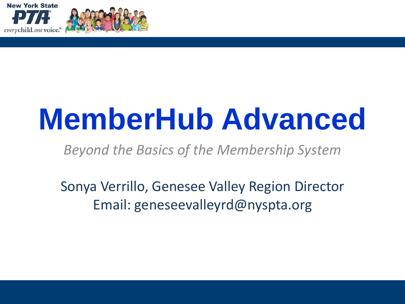



# **MemberHub Advanced**

*Beyond the Basics of the Membership System*

Sonya Verrillo, Genesee Valley Region Director Email: geneseevalleyrd@nyspta.org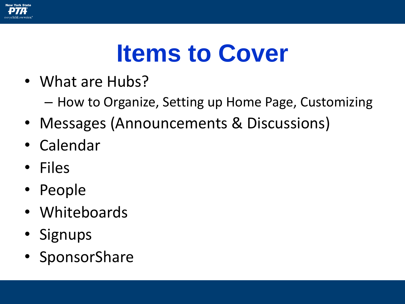

# **Items to Cover**

- What are Hubs?
	- How to Organize, Setting up Home Page, Customizing
- Messages (Announcements & Discussions)
- Calendar
- Files
- People
- Whiteboards
- Signups
- SponsorShare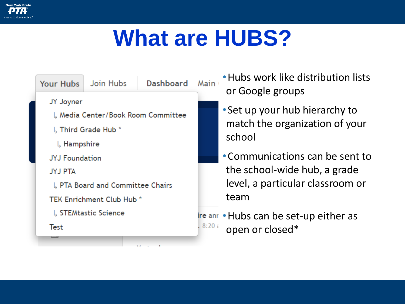

### **What are HUBS?**



•Hubs work like distribution lists or Google groups

- Set up your hub hierarchy to match the organization of your school
- •Communications can be sent to the school-wide hub, a grade level, a particular classroom or team

Ire anr • Hubs can be set-up either as open or closed\*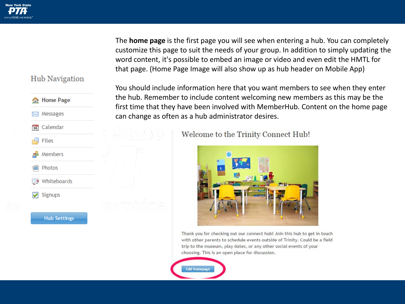### **Hub Navigation**



The **home page** is the first page you will see when entering a hub. You can completely customize this page to suit the needs of your group. In addition to simply updating the word content, it's possible to embed an image or video and even edit the HMTL for that page. (Home Page Image will also show up as hub header on Mobile App)

You should include information here that you want members to see when they enter the hub. Remember to include content welcoming new members as this may be the first time that they have been involved with MemberHub. Content on the home page can change as often as a hub administrator desires.

Welcome to the Trinity Connect Hub!



Thank you for checking out our connect hub! Join this hub to get in touch with other parents to schedule events outside of Trinity. Could be a field trip to the museum, play dates, or any other social events of your choosing. This is an open place for discussion.

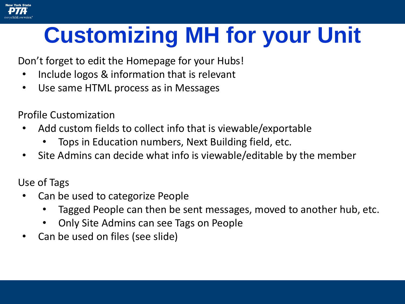### **Customizing MH for your Unit**

Don't forget to edit the Homepage for your Hubs!

- Include logos & information that is relevant
- Use same HTML process as in Messages

Profile Customization

- Add custom fields to collect info that is viewable/exportable
	- Tops in Education numbers, Next Building field, etc.
- Site Admins can decide what info is viewable/editable by the member

Use of Tags

- Can be used to categorize People
	- Tagged People can then be sent messages, moved to another hub, etc.
	- Only Site Admins can see Tags on People
- Can be used on files (see slide)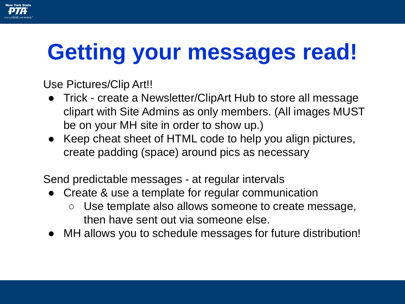# **Getting your messages read!**

Use Pictures/Clip Art!!

- Trick create a Newsletter/ClipArt Hub to store all message clipart with Site Admins as only members. (All images MUST be on your MH site in order to show up.)
- Keep cheat sheet of HTML code to help you align pictures, create padding (space) around pics as necessary

Send predictable messages - at regular intervals

- Create & use a template for regular communication
	- Use template also allows someone to create message, then have sent out via someone else.
- MH allows you to schedule messages for future distribution!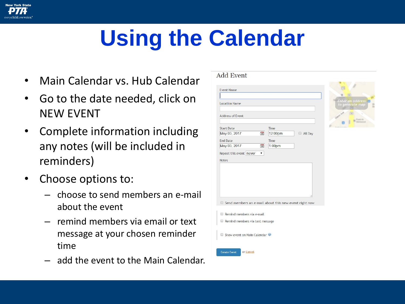# **Using the Calendar**

- Main Calendar vs. Hub Calendar
- Go to the date needed, click on NEW EVENT
- Complete information including any notes (will be included in reminders)
- Choose options to:

**New York State** 

- choose to send members an e-mail about the event
- remind members via email or text message at your chosen reminder time
- add the event to the Main Calendar.

### **Add Event Event Name Location Name Address of Event Start Date** Time May 03, 2017 30 12:00pm All Dav **End Date** Time 30 May 03, 2017  $1:00<sub>pm</sub>$ Repeat this event never  $\pmb{\mathbf{v}}$ **Notes**  $\Box$  Send members an e-mail about this new event right now Remind members via e-mail Remind members via text message Show event on Main Calendar <sup>@</sup> **Create Event** or Cancel

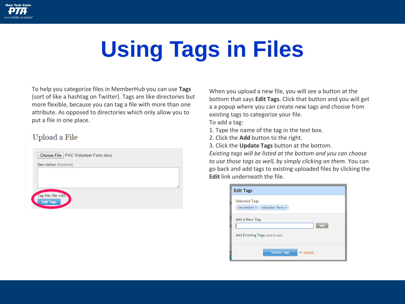

# **Using Tags in Files**

To help you categorize files in MemberHub you can use **Tags** (sort of like a hashtag on Twitter). Tags are like directories but more flexible, because you can tag a file with more than one attribute. As opposed to directories which only allow you to put a file in one place.

### Upload a File



When you upload a new file, you will see a button at the bottom that says **Edit Tags**. Click that button and you will get a a popup where you can create new tags and choose from existing tags to categorize your file.

To add a tag:

- 1. Type the name of the tag in the text box.
- 2. Click the **Add** button to the right.
- 3. Click the **Update Tags** button at the bottom.

*Existing tags will be listed at the bottom and you can choose to use those tags as well, by simply clicking on them.* You can go back and add tags to existing uploaded files by clicking the **Edit** link underneath the file.

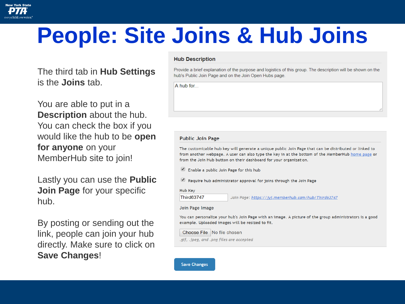

### **People: Site Joins & Hub Joins**

The third tab in **Hub Settings** is the **Joins** tab.

You are able to put in a **Description** about the hub. You can check the box if you would like the hub to be **open for anyone** on your MemberHub site to join!

Lastly you can use the **Public Join Page** for your specific hub.

By posting or sending out the link, people can join your hub directly. Make sure to click on **Save Changes**!

#### **Hub Description**

Provide a brief explanation of the purpose and logistics of this group. The description will be shown on the hub's Public Join Page and on the Join Open Hubs page.

A hub for...

#### **Public Join Page**

The customizable hub key will generate a unique public Join Page that can be distributed or linked to from another webpage. A user can also type the key in at the bottom of the MemberHub home page or from the Join Hub button on their dashboard for your organization.

 $\bullet$ Enable a public Join Page for this hub

Require hub administrator approval for joins through the Join Page

Hub Kev

Third63747

Join Page: https://jvj.memberhub.com/hub/Third63747

#### Join Page Image

You can personalize your hub's Join Page with an image. A picture of the group administrators is a good example. Uploaded images will be resized to fit.

Choose File No file chosen

.gif, .jpeg, and .png files are accepted

**Save Changes**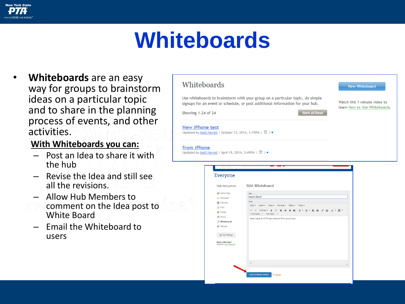### **New York State**

### **Whiteboards**

• **Whiteboards** are an easy way for groups to brainstorm ideas on a particular topic and to share in the planning process of events, and other activities.

### **With Whiteboards you can:**

- Post an Idea to share it with the hub
- Revise the Idea and still see all the revisions.
- Allow Hub Members to
- comment on the Idea post to White Board
- Email the Whiteboard to users



| <b>Hub Navigation</b>                         | <b>Edit Whiteboard</b>                                                                    |
|-----------------------------------------------|-------------------------------------------------------------------------------------------|
| Home Page                                     | Title<br>need ideas!                                                                      |
| Messages                                      | Body                                                                                      |
| <b>Se</b> Calendar                            | Edit - Insert - View - Format - Table - Tools -                                           |
| <b>B</b> Files<br><b>People</b>               | ↑ ↑ Formats ▼ B J   事 専 理 ■ H → H → E → E 理   タ 国   A → 图 →<br>Font Family + Font Sizes + |
| <b>III</b> Photos<br>Whiteboards<br>Signups   | Need ideas for BTS decorations! Post yours here.                                          |
| Hub Settings                                  |                                                                                           |
| Need a little help?<br>Read the Hub Overview. |                                                                                           |
|                                               | p                                                                                         |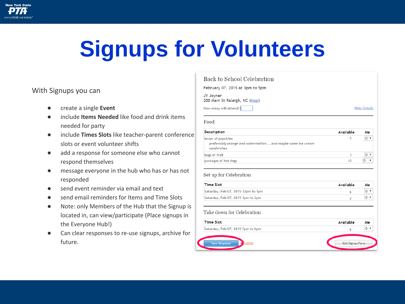

# **Signups for Volunteers**

### With Signups you can

- create a single **Event**
- include **Items Needed** like food and drink items needed for party
- include **Times Slots** like teacher-parent conference slots or event volunteer shifts
- add a response for someone else who cannot respond themselves
- message everyone in the hub who has or has not responded
- send event reminder via email and text
- send email reminders for Items and Time Slots
- Note: only Members of the Hub that the Signup is located in, can view/participate (Place signups in the Everyone Hub!)
- Can clear responses to re-use signups, archive for future.

| Back to School Celebration                                                                    |           |                     |  |  |
|-----------------------------------------------------------------------------------------------|-----------|---------------------|--|--|
| February 07, 2015 at 3pm to 5pm                                                               |           |                     |  |  |
| JY Joyner<br>200 Main St Raleigh, NC (Map)                                                    |           |                     |  |  |
| How many will attend?                                                                         |           | <b>Hide Details</b> |  |  |
| Food<br><b>Description</b>                                                                    | Available | Me                  |  |  |
|                                                                                               |           |                     |  |  |
| boxes of popsicles<br>preferably orange and watermellonand maybe some ice cream<br>sandwiches | 5         | $0 \times$          |  |  |
| bags of fruit                                                                                 | 3         | 0 <sub>x</sub>      |  |  |

#### Set up for Celebration

| <b>Time Slot</b>                   | Available | Me |
|------------------------------------|-----------|----|
| Saturday, Feb 07, 2015 12pm to 1pm |           |    |
| Saturday, Feb 07, 2015 1pm to 2pm  |           |    |

#### Take down for Celebration

| <b>Time Slot</b>                  | Available        | Me             |
|-----------------------------------|------------------|----------------|
| Saturday, Feb 07, 2015 5pm to 6pm |                  | 0 <sub>x</sub> |
| Cancel<br><b>Save Response</b>    | Edit Signup Form |                |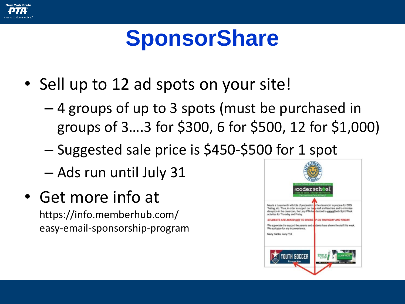

### **SponsorShare**

- Sell up to 12 ad spots on your site!
	- 4 groups of up to 3 spots (must be purchased in groups of 3….3 for \$300, 6 for \$500, 12 for \$1,000)
	- Suggested sale price is \$450-\$500 for 1 spot
	- Ads run until July 31
- Get more info at https://info.memberhub.com/ easy-email-sponsorship-program